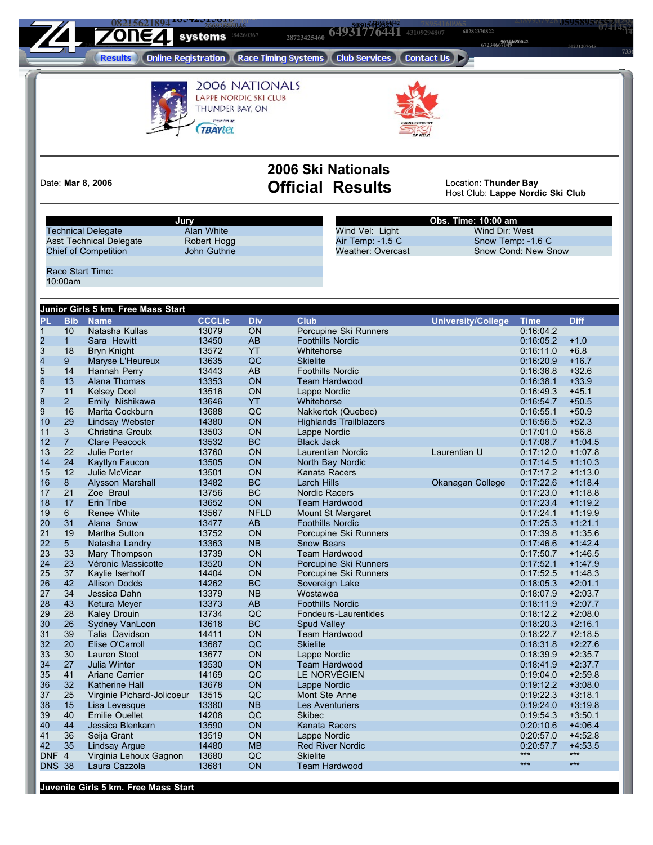**09377151705 <sup>90344650042</sup>** 

 **<sup>05958957552</sup> <sup>93632546982</sup> <sup>14622925338</sup> <sup>26691686046</sup> 50805419523 64931776441 43109294807 60282370822 60282370822 <sup>14151459740</sup> <sup>26935919598</sup>**

**23899379281**

**43535889823 30231207645** 

(Online Registration) (Race Timing Systems) (Club Services) (Contact Us) > **Results** 



Presenten ag:

**2006 Ski Nationals** Date: Mar 8, 2006 **Official Results** 

Location: Thunder Bay<br>Host Club: Lappe Nordic Ski Club

|                |                | Jury                               | Alan White    |             |                               | Obs. Time: 10:00 am<br>Wind Vel: Light<br>Wind Dir: West |                     |             |  |  |  |
|----------------|----------------|------------------------------------|---------------|-------------|-------------------------------|----------------------------------------------------------|---------------------|-------------|--|--|--|
|                |                | <b>Technical Delegate</b>          |               |             |                               |                                                          |                     |             |  |  |  |
|                |                | <b>Asst Technical Delegate</b>     | Robert Hogg   |             | Air Temp: -1.5 C              | Snow Temp: -1.6 C                                        |                     |             |  |  |  |
|                |                | <b>Chief of Competition</b>        | John Guthrie  |             | <b>Weather: Overcast</b>      |                                                          | Snow Cond: New Snow |             |  |  |  |
|                |                | Race Start Time:                   |               |             |                               |                                                          |                     |             |  |  |  |
|                | 10:00am        |                                    |               |             |                               |                                                          |                     |             |  |  |  |
|                |                |                                    |               |             |                               |                                                          |                     |             |  |  |  |
|                |                | Junior Girls 5 km. Free Mass Start |               |             |                               |                                                          |                     |             |  |  |  |
| PL             | <b>Bib</b>     | <b>Name</b>                        | <b>CCCLic</b> | <b>Div</b>  | <b>Club</b>                   | <b>University/College</b>                                | <b>Time</b>         | <b>Diff</b> |  |  |  |
| $\mathbf{1}$   | 10             | Natasha Kullas                     | 13079         | ON          | Porcupine Ski Runners         |                                                          | 0:16:04.2           |             |  |  |  |
|                | $\mathbf{1}$   | Sara Hewitt                        | 13450         | AB          | <b>Foothills Nordic</b>       |                                                          | 0:16:05.2           | $+1.0$      |  |  |  |
|                | 18             | <b>Bryn Knight</b>                 | 13572         | YT          | Whitehorse                    |                                                          | 0:16:11.0           | $+6.8$      |  |  |  |
| $\frac{2}{3}$  | 9              | Maryse L'Heureux                   | 13635         | QC          | <b>Skielite</b>               |                                                          | 0:16:20.9           | $+16.7$     |  |  |  |
| 5              | 14             | Hannah Perry                       | 13443         | AB          | <b>Foothills Nordic</b>       |                                                          | 0:16:36.8           | $+32.6$     |  |  |  |
| 6              | 13             | Alana Thomas                       | 13353         | ON          | <b>Team Hardwood</b>          |                                                          | 0:16:38.1           | $+33.9$     |  |  |  |
| $\overline{7}$ | 11             | <b>Kelsey Dool</b>                 | 13516         | ON          | Lappe Nordic                  |                                                          | 0:16:49.3           | $+45.1$     |  |  |  |
| 8              | 2 <sup>1</sup> | Emily Nishikawa                    | 13646         | <b>YT</b>   | Whitehorse                    |                                                          | 0:16:54.7           | $+50.5$     |  |  |  |
| 9              | 16             | Marita Cockburn                    | 13688         | QC          | Nakkertok (Quebec)            |                                                          | 0:16:55.1           | $+50.9$     |  |  |  |
| 10             | 29             | <b>Lindsay Webster</b>             | 14380         | ON          | <b>Highlands Trailblazers</b> |                                                          | 0:16:56.5           | $+52.3$     |  |  |  |
| 11             | 3              | Christina Groulx                   | 13503         | ON          | Lappe Nordic                  |                                                          | 0:17:01.0           | $+56.8$     |  |  |  |
| 12             | 7 <sup>7</sup> | Clare Peacock                      | 13532         | <b>BC</b>   | <b>Black Jack</b>             |                                                          | 0:17:08.7           | $+1:04.5$   |  |  |  |
| 13             | 22             | <b>Julie Porter</b>                | 13760         | ON          | Laurentian Nordic             | Laurentian U                                             | 0:17:12.0           | $+1:07.8$   |  |  |  |
| 14             | 24             | <b>Kaytlyn Faucon</b>              | 13505         | ON          | North Bay Nordic              |                                                          | 0:17:14.5           | $+1:10.3$   |  |  |  |
| 15             | 12             | Julie McVicar                      | 13501         | ON          | Kanata Racers                 |                                                          | 0:17:17.2           | $+1:13.0$   |  |  |  |
| 16             | 8 <sup>°</sup> | <b>Alysson Marshall</b>            | 13482         | <b>BC</b>   | <b>Larch Hills</b>            | Okanagan College                                         | 0:17:22.6           | $+1:18.4$   |  |  |  |
| 17             | 21             | Zoe Braul                          | 13756         | BC          | <b>Nordic Racers</b>          |                                                          | 0:17:23.0           | $+1:18.8$   |  |  |  |
| 18             | 17             | <b>Erin Tribe</b>                  | 13652         | ON          | <b>Team Hardwood</b>          |                                                          | 0:17:23.4           | $+1:19.2$   |  |  |  |
| 19             | 6              | <b>Renee White</b>                 | 13567         | <b>NFLD</b> | Mount St Margaret             |                                                          | 0:17:24.1           | $+1:19.9$   |  |  |  |
| 20             | 31             | Alana Snow                         | 13477         | AB          | <b>Foothills Nordic</b>       |                                                          | 0:17:25.3           | $+1:21.1$   |  |  |  |
| 21             | 19             | Martha Sutton                      | 13752         | ON          | Porcupine Ski Runners         |                                                          | 0:17:39.8           | $+1:35.6$   |  |  |  |
| 22             | 5 <sup>5</sup> | Natasha Landry                     | 13363         | <b>NB</b>   | <b>Snow Bears</b>             |                                                          | 0:17:46.6           | $+1:42.4$   |  |  |  |
| 23             | 33             | Mary Thompson                      | 13739         | ON          | <b>Team Hardwood</b>          |                                                          | 0:17:50.7           | $+1:46.5$   |  |  |  |
| 24             | 23             | Véronic Massicotte                 | 13520         | ON          | Porcupine Ski Runners         |                                                          | 0:17:52.1           | $+1.47.9$   |  |  |  |
| 25             | 37             | Kaylie Iserhoff                    | 14404         | ON          | Porcupine Ski Runners         |                                                          | 0:17:52.5           | $+1:48.3$   |  |  |  |
| 26             | 42             | <b>Allison Dodds</b>               | 14262         | <b>BC</b>   | Sovereign Lake                |                                                          | 0:18:05.3           | $+2:01.1$   |  |  |  |
| 27             | 34             | Jessica Dahn                       | 13379         | <b>NB</b>   | Wostawea                      |                                                          | 0:18:07.9           | $+2:03.7$   |  |  |  |
| 28             | 43             | <b>Ketura Meyer</b>                | 13373         | AB          | <b>Foothills Nordic</b>       |                                                          | 0:18:11.9           | $+2:07.7$   |  |  |  |
| 29             | 28             | <b>Kaley Drouin</b>                | 13734         | QC          | Fondeurs-Laurentides          |                                                          | 0:18:12.2           | $+2:08.0$   |  |  |  |
| 30             | 26             | Sydney VanLoon                     | 13618         | <b>BC</b>   | Spud Valley                   |                                                          | 0:18:20.3           | $+2:16.1$   |  |  |  |
| 31             | 39             | Talia Davidson                     | 14411         | ON          | <b>Team Hardwood</b>          |                                                          | 0:18:22.7           | $+2:18.5$   |  |  |  |
| 32             | 20             | Elise O'Carroll                    | 13687         | QC          | <b>Skielite</b>               |                                                          | 0:18:31.8           | $+2:27.6$   |  |  |  |
| 33             | 30             | Lauren Stoot                       | 13677         | ON          | Lappe Nordic                  |                                                          | 0:18:39.9           | $+2:35.7$   |  |  |  |
| 34             | 27             | <b>Julia Winter</b>                | 13530         | ON          | <b>Team Hardwood</b>          |                                                          | 0:18:41.9           | $+2:37.7$   |  |  |  |
| 35             | 41             | <b>Ariane Carrier</b>              | 14169         | QC          | LE NORVÉGIEN                  |                                                          | 0:19:04.0           | $+2:59.8$   |  |  |  |
| 36             | 32             | Katherine Hall                     | 13678         | ON          | Lappe Nordic                  |                                                          | 0:19:12.2           | $+3:08.0$   |  |  |  |
| 37             | 25             | Virginie Pichard-Jolicoeur 13515   |               | QC          | Mont Ste Anne                 |                                                          | 0:19:22.3           | $+3:18.1$   |  |  |  |
| 38             | 15             | Lisa Levesque                      | 13380         | <b>NB</b>   | Les Aventuriers               |                                                          | 0:19:24.0           | $+3:19.8$   |  |  |  |
| 39             | 40             | <b>Emilie Ouellet</b>              | 14208         | QC          | <b>Skibec</b>                 |                                                          | 0:19:54.3           | $+3:50.1$   |  |  |  |
| 40             | 44             | Jessica Blenkarn                   | 13590         | ON          | <b>Kanata Racers</b>          |                                                          | 0:20:10.6           | $+4:06.4$   |  |  |  |
| 41             | 36             | Seija Grant                        | 13519         | ON          | Lappe Nordic                  |                                                          | 0:20:57.0           | $+4:52.8$   |  |  |  |
| 42             | 35             | <b>Lindsay Argue</b>               | 14480         | <b>MB</b>   | <b>Red River Nordic</b>       |                                                          | 0:20:57.7           | $+4:53.5$   |  |  |  |
| DNF 4          |                | Virginia Lehoux Gagnon             | 13680         | QC          | <b>Skielite</b>               |                                                          | $***$               | $***$       |  |  |  |
| <b>DNS 38</b>  |                | Laura Cazzola                      | 13681         | ON          | <b>Team Hardwood</b>          |                                                          | $***$               | $***$       |  |  |  |
|                |                |                                    |               |             |                               |                                                          |                     |             |  |  |  |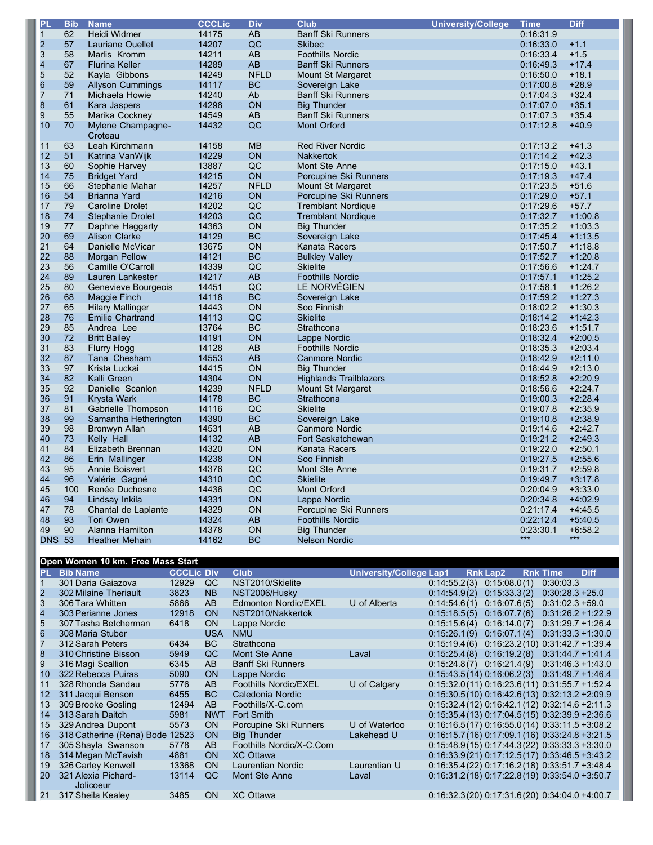| PL            | <b>Bib</b> | <b>Name</b>              | <b>CCCLic</b> | <b>Div</b>      | <b>Club</b>                   | <b>University/College</b> | <b>Time</b> | <b>Diff</b> |
|---------------|------------|--------------------------|---------------|-----------------|-------------------------------|---------------------------|-------------|-------------|
| $\mathbf{1}$  | 62         | Heidi Widmer             | 14175         | $\overline{AB}$ | <b>Banff Ski Runners</b>      |                           | 0:16:31.9   |             |
| $\frac{2}{3}$ | 57         | Lauriane Ouellet         | 14207         | QC              | <b>Skibec</b>                 |                           | 0:16:33.0   | $+1.1$      |
|               | 58         | Marlis Kromm             | 14211         | AB              | <b>Foothills Nordic</b>       |                           | 0:16:33.4   | $+1.5$      |
| 4             | 67         | <b>Flurina Keller</b>    | 14289         | AB              | <b>Banff Ski Runners</b>      |                           | 0:16:49.3   | $+17.4$     |
|               | 52         | Kayla Gibbons            | 14249         | <b>NFLD</b>     | Mount St Margaret             |                           | 0:16:50.0   | $+18.1$     |
| 5<br>6<br>7   | 59         | <b>Allyson Cummings</b>  | 14117         | <b>BC</b>       | Sovereign Lake                |                           | 0:17:00.8   | $+28.9$     |
|               | 71         | Michaela Howie           | 14240         | Ab              | <b>Banff Ski Runners</b>      |                           | 0:17:04.3   | $+32.4$     |
| 8             | 61         | Kara Jaspers             | 14298         | ON              | <b>Big Thunder</b>            |                           | 0:17:07.0   | $+35.1$     |
| 9             | 55         | Marika Cockney           | 14549         | AB              | <b>Banff Ski Runners</b>      |                           | 0:17:07.3   | $+35.4$     |
| 10            | 70         | <b>Mylene Champagne-</b> | 14432         | QC              | <b>Mont Orford</b>            |                           | 0:17:12.8   | $+40.9$     |
|               |            | Croteau                  |               |                 |                               |                           |             |             |
| 11            | 63         | Leah Kirchmann           | 14158         | <b>MB</b>       | <b>Red River Nordic</b>       |                           | 0:17:13.2   | $+41.3$     |
| 12            | 51         | Katrina VanWijk          | 14229         | ON              | <b>Nakkertok</b>              |                           | 0:17:14.2   | $+42.3$     |
| 13            | 60         | Sophie Harvey            | 13887         | QC              | Mont Ste Anne                 |                           | 0:17:15.0   | $+43.1$     |
| 14            | 75         | <b>Bridget Yard</b>      | 14215         | ON              | Porcupine Ski Runners         |                           | 0:17:19.3   | $+47.4$     |
| 15            | 66         | Stephanie Mahar          | 14257         | <b>NFLD</b>     | Mount St Margaret             |                           | 0:17:23.5   | $+51.6$     |
| 16            | 54         | <b>Brianna Yard</b>      | 14216         | ON              | Porcupine Ski Runners         |                           | 0:17:29.0   | $+57.1$     |
| 17            | 79         | <b>Caroline Drolet</b>   | 14202         | QC              | <b>Tremblant Nordique</b>     |                           | 0:17:29.6   | $+57.7$     |
| 18            | 74         | <b>Stephanie Drolet</b>  | 14203         | QC              | <b>Tremblant Nordique</b>     |                           | 0:17:32.7   | $+1:00.8$   |
| 19            | 77         | Daphne Haggarty          | 14363         | ON              | <b>Big Thunder</b>            |                           | 0:17:35.2   | $+1:03.3$   |
| 20            | 69         | <b>Alison Clarke</b>     | 14129         | <b>BC</b>       | Sovereign Lake                |                           | 0:17:45.4   | $+1:13.5$   |
| 21            | 64         | Danielle McVicar         | 13675         | ON              | Kanata Racers                 |                           | 0:17:50.7   | $+1:18.8$   |
| 22            | 88         | <b>Morgan Pellow</b>     | 14121         | <b>BC</b>       | <b>Bulkley Valley</b>         |                           | 0:17:52.7   | $+1:20.8$   |
| 23            | 56         | Camille O'Carroll        | 14339         | QC              | <b>Skielite</b>               |                           | 0:17:56.6   | $+1:24.7$   |
| 24            | 89         | Lauren Lankester         | 14217         | AB              | <b>Foothills Nordic</b>       |                           | 0:17:57.1   | $+1:25.2$   |
| 25            | 80         | Genevieve Bourgeois      | 14451         | QC              | LE NORVÉGIEN                  |                           | 0:17:58.1   | $+1:26.2$   |
| 26            | 68         | Maggie Finch             | 14118         | <b>BC</b>       | Sovereign Lake                |                           | 0:17:59.2   | $+1:27.3$   |
| 27            | 65         | <b>Hilary Mallinger</b>  | 14443         | ON              | Soo Finnish                   |                           | 0:18:02.2   | $+1:30.3$   |
| 28            | 76         | Émilie Chartrand         | 14113         | QC              | <b>Skielite</b>               |                           | 0:18:14.2   | $+1:42.3$   |
| 29            | 85         | Andrea Lee               | 13764         | <b>BC</b>       | Strathcona                    |                           | 0:18:23.6   | $+1:51.7$   |
| 30            | 72         | <b>Britt Bailey</b>      | 14191         | <b>ON</b>       | Lappe Nordic                  |                           | 0:18:32.4   | $+2:00.5$   |
| 31            | 83         | <b>Flurry Hogg</b>       | 14128         | AB              | <b>Foothills Nordic</b>       |                           | 0:18:35.3   | $+2:03.4$   |
| 32            | 87         | Tana Chesham             | 14553         | AB              | <b>Canmore Nordic</b>         |                           | 0:18:42.9   | $+2:11.0$   |
| 33            | 97         | Krista Luckai            | 14415         | <b>ON</b>       | <b>Big Thunder</b>            |                           | 0:18:44.9   | $+2:13.0$   |
| 34            | 82         | Kalli Green              | 14304         | ON              | <b>Highlands Trailblazers</b> |                           | 0:18:52.8   | $+2:20.9$   |
| 35            | 92         | Danielle Scanlon         | 14239         | <b>NFLD</b>     | Mount St Margaret             |                           | 0:18:56.6   | $+2:24.7$   |
| 36            | 91         | Krysta Wark              | 14178         | <b>BC</b>       | Strathcona                    |                           | 0:19:00.3   | $+2:28.4$   |
| 37            | 81         | Gabrielle Thompson       | 14116         | QC              | <b>Skielite</b>               |                           | 0:19:07.8   | $+2:35.9$   |
| 38            | 99         | Samantha Hetherington    | 14390         | <b>BC</b>       | Sovereign Lake                |                           | 0:19:10.8   | $+2:38.9$   |
| 39            | 98         | Bronwyn Allan            | 14531         | AB              | <b>Canmore Nordic</b>         |                           | 0:19:14.6   | $+2:42.7$   |
| 40            | 73         | Kelly Hall               | 14132         | AB              | Fort Saskatchewan             |                           | 0:19:21.2   | $+2:49.3$   |
| 41            | 84         | Elizabeth Brennan        | 14320         | ON              | Kanata Racers                 |                           | 0:19:22.0   | $+2:50.1$   |
| 42            | 86         | Erin Mallinger           | 14238         | <b>ON</b>       | Soo Finnish                   |                           | 0:19:27.5   | $+2:55.6$   |
| 43            | 95         | <b>Annie Boisvert</b>    | 14376         | QC              | Mont Ste Anne                 |                           | 0:19:31.7   | $+2:59.8$   |
| 44            | 96         | Valérie Gagné            | 14310         | QC              | <b>Skielite</b>               |                           | 0:19:49.7   | $+3:17.8$   |
| 45            | 100        | Renée Duchesne           | 14436         | QC              | Mont Orford                   |                           | 0:20:04.9   | $+3:33.0$   |
| 46            | 94         | Lindsay Inkila           | 14331         | ON              | Lappe Nordic                  |                           | 0:20:34.8   | $+4:02.9$   |
| 47            | 78         | Chantal de Laplante      | 14329         | ON              | Porcupine Ski Runners         |                           | 0:21:17.4   | $+4:45.5$   |
| 48            | 93         | <b>Tori Owen</b>         | 14324         | AB              | <b>Foothills Nordic</b>       |                           | 0:22:12.4   | $+5:40.5$   |
| 49            | 90         | Alanna Hamilton          | 14378         | ON              | <b>Big Thunder</b>            |                           | 0:23:30.1   | $+6:58.2$   |
| <b>DNS 53</b> |            | <b>Heather Mehain</b>    | 14162         | <b>BC</b>       | <b>Nelson Nordic</b>          |                           | $***$       | $***$       |

|                   | Open Women 10 km. Free Mass Start |                   |                |                             |                                |                                                      |                 |                                    |             |
|-------------------|-----------------------------------|-------------------|----------------|-----------------------------|--------------------------------|------------------------------------------------------|-----------------|------------------------------------|-------------|
| PL.               | <b>Bib Name</b>                   | <b>CCCLic Div</b> |                | <b>Club</b>                 | <b>University/College Lap1</b> |                                                      | <b>Rnk Lap2</b> | <b>Rnk Time</b>                    | <b>Diff</b> |
|                   | 301 Daria Gaiazova                | 12929             | QC             | NST2010/Skielite            |                                | 0:14:55.2(3)                                         | 0:15:08.0(1)    | 0:30:03.3                          |             |
|                   | 302 Milaine Theriault             | 3823              | N <sub>B</sub> | NST2006/Husky               |                                | 0:14:54.9(2)                                         | 0:15:33.3(2)    | $0:30:28.3 + 25.0$                 |             |
| 3                 | 306 Tara Whitten                  | 5866              | AB             | <b>Edmonton Nordic/EXEL</b> | U of Alberta                   | 0:14:54.6(1)                                         | 0:16:07.6(5)    | $0:31:02.3 + 59.0$                 |             |
| 4                 | 303 Perianne Jones                | 12918             | <b>ON</b>      | NST2010/Nakkertok           |                                | 0:15:18.5(5)                                         | 0:16:07.7(6)    | $0:31:26.2 + 1:22.9$               |             |
| 5                 | 307 Tasha Betcherman              | 6418              | <b>ON</b>      | Lappe Nordic                |                                | 0:15:15.6(4)                                         | 0:16:14.0(7)    | $0:31:29.7 + 1:26.4$               |             |
| 6                 | 308 Maria Stuber                  |                   | <b>USA</b>     | <b>NMU</b>                  |                                | 0:15:26.1(9)                                         | 0:16:07.1(4)    | $0:31:33.3 + 1:30.0$               |             |
|                   | 312 Sarah Peters                  | 6434              | BC             | Strathcona                  |                                | 0:15:19.4(6)                                         |                 | $0:16:23.2(10)$ $0:31:42.7+1:39.4$ |             |
| 8                 | 310 Christine Bisson              | 5949              | QC             | Mont Ste Anne               | Laval                          | 0:15:25.4(8)                                         | 0:16:19.2(8)    | $0:31:44.7+1:41.4$                 |             |
| 9                 | 316 Magi Scallion                 | 6345              | AB.            | <b>Banff Ski Runners</b>    |                                | $0:15:24.8(7)$ $0:16:21.4(9)$                        |                 | $0:31:46.3 + 1:43.0$               |             |
| 10 <sup>1</sup>   | 322 Rebecca Puiras                | 5090              | <b>ON</b>      | Lappe Nordic                |                                | $0:15:43.5(14)$ $0:16:06.2(3)$                       |                 | $0:31:49.7 +1:46.4$                |             |
| 11                | 328 Rhonda Sandau                 | 5776              | AB.            | Foothills Nordic/EXEL       | U of Calgary                   | $0:15:32.0(11)$ $0:16:23.6(11)$ $0:31:55.7+1:52.4$   |                 |                                    |             |
| $12 \overline{ }$ | 311 Jacqui Benson                 | 6455              | BC             | Caledonia Nordic            |                                | $0:15:30.5(10)$ $0:16:42.6(13)$ $0:32:13.2 + 2:09.9$ |                 |                                    |             |
| 13                | 309 Brooke Gosling                | 12494             | AB             | Foothills/X-C.com           |                                | $0:15:32.4(12)$ $0:16:42.1(12)$ $0:32:14.6 + 2:11.3$ |                 |                                    |             |
| 14                | 313 Sarah Daitch                  | 5981              | <b>NWT</b>     | Fort Smith                  |                                | $0:15:35.4(13)$ $0:17:04.5(15)$ $0:32:39.9 + 2:36.6$ |                 |                                    |             |
| 15                | 329 Andrea Dupont                 | 5573              | <b>ON</b>      | Porcupine Ski Runners       | U of Waterloo                  | $0:16:16.5(17)$ $0:16:55.0(14)$ $0:33:11.5+3:08.2$   |                 |                                    |             |
| 16                | 318 Catherine (Rena) Bode         | 12523             | <b>ON</b>      | <b>Big Thunder</b>          | Lakehead U                     | $0:16:15.7(16)$ $0:17:09.1(16)$ $0:33:24.8+3:21.5$   |                 |                                    |             |
| 17                | 305 Shayla Swanson                | 5778              | AB.            | Foothills Nordic/X-C.Com    |                                | $0:15:48.9(15)$ $0:17:44.3(22)$ $0:33:33.3+3:30.0$   |                 |                                    |             |
| 18                | 314 Megan McTavish                | 4881              | <b>ON</b>      | <b>XC Ottawa</b>            |                                | $0:16:33.9(21)$ $0:17:12.5(17)$ $0:33:46.5+3:43.2$   |                 |                                    |             |
| 19                | 326 Carley Kenwell                | 13368             | <b>ON</b>      | Laurentian Nordic           | Laurentian U                   | $0:16:35.4(22)$ $0:17:16.2(18)$ $0:33:51.7+3:48.4$   |                 |                                    |             |
| 20                | 321 Alexia Pichard-<br>Jolicoeur  | 13114             | QC             | Mont Ste Anne               | Laval                          | $0:16:31.2(18)$ $0:17:22.8(19)$ $0:33:54.0 +3:50.7$  |                 |                                    |             |
| 21                | 317 Sheila Kealey                 | 3485              | <b>ON</b>      | <b>XC</b> Ottawa            |                                | $0:16:32.3(20)$ $0:17:31.6(20)$ $0:34:04.0 + 4:00.7$ |                 |                                    |             |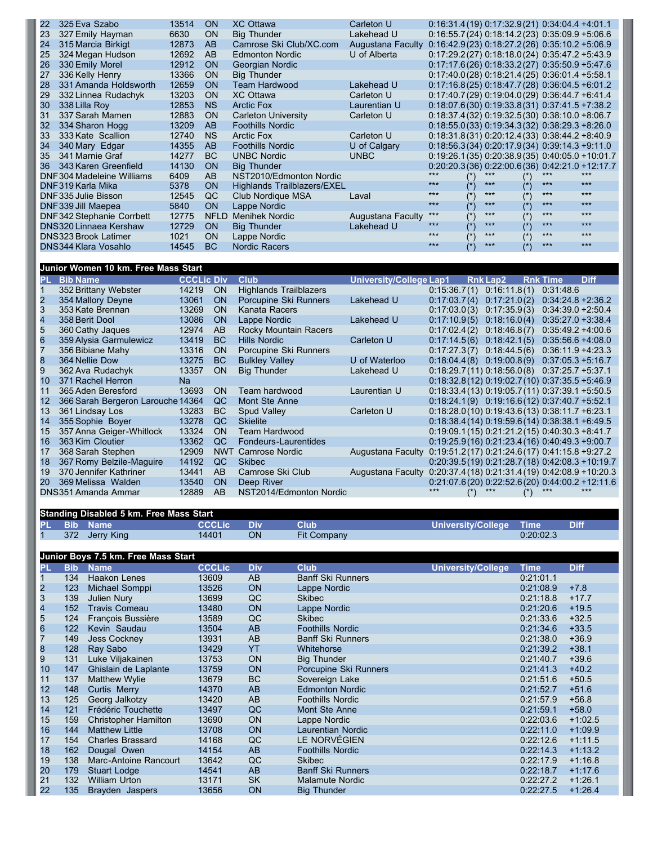| 22  | 325 Eva Szabo                 | 13514 | <b>ON</b>   | <b>XC Ottawa</b>                   | Carleton U        | $0:16:31.4(19)$ $0:17:32.9(21)$ $0:34:04.4+4:01.1$   |               |                                                      |                   |       |       |
|-----|-------------------------------|-------|-------------|------------------------------------|-------------------|------------------------------------------------------|---------------|------------------------------------------------------|-------------------|-------|-------|
| 23  | 327 Emily Hayman              | 6630  | <b>ON</b>   | <b>Big Thunder</b>                 | Lakehead U        |                                                      |               | $0:16:55.7(24)$ $0:18:14.2(23)$ $0:35:09.9 + 5:06.6$ |                   |       |       |
| 24  | 315 Marcia Birkigt            | 12873 | <b>AB</b>   | Camrose Ski Club/XC.com            | Augustana Faculty | $0:16:42.9(23)$ $0:18:27.2(26)$ $0:35:10.2 +5.06.9$  |               |                                                      |                   |       |       |
| 25  | 324 Megan Hudson              | 12692 | AB          | <b>Edmonton Nordic</b>             | U of Alberta      | $0:17:29.2(27)$ $0:18:18.0(24)$ $0:35:47.2+5:43.9$   |               |                                                      |                   |       |       |
| 26  | 330 Emily Morel               | 12912 | <b>ON</b>   | Georgian Nordic                    |                   |                                                      |               | $0:17:17.6(26)$ $0:18:33.2(27)$ $0:35:50.9 + 5:47.6$ |                   |       |       |
| 27  | 336 Kelly Henry               | 13366 | <b>ON</b>   | <b>Big Thunder</b>                 |                   |                                                      |               | $0:17:40.0(28)$ $0:18:21.4(25)$ $0:36:01.4+5:58.1$   |                   |       |       |
| 28  | 331 Amanda Holdsworth         | 12659 | <b>ON</b>   | <b>Team Hardwood</b>               | Lakehead U        |                                                      |               | $0:17:16.8(25)$ $0:18:47.7(28)$ $0:36:04.5+6:01.2$   |                   |       |       |
| 29  | 332 Linnea Rudachyk           | 13203 | <b>ON</b>   | <b>XC</b> Ottawa                   | Carleton U        | $0:17:40.7(29)$ $0:19:04.0(29)$ $0:36:44.7+6:41.4$   |               |                                                      |                   |       |       |
| 30  | 338 Lilla Roy                 | 12853 | <b>NS</b>   | <b>Arctic Fox</b>                  | Laurentian U      | $0:18:07.6(30)$ $0:19:33.8(31)$ $0:37:41.5+7:38.2$   |               |                                                      |                   |       |       |
| 31  | 337 Sarah Mamen               | 12883 | <b>ON</b>   | <b>Carleton University</b>         | Carleton U        | $0:18:37.4(32)$ $0:19:32.5(30)$ $0:38:10.0+8:06.7$   |               |                                                      |                   |       |       |
| 32  | 334 Sharon Hogg               | 13209 | <b>AB</b>   | <b>Foothills Nordic</b>            |                   | $0:18:55.0(33)$ $0:19:34.3(32)$ $0:38:29.3+8:26.0$   |               |                                                      |                   |       |       |
| 33  | 333 Kate Scallion             | 12740 | <b>NS</b>   | <b>Arctic Fox</b>                  | Carleton U        | $0:18:31.8(31)$ $0:20:12.4(33)$ $0:38:44.2+8:40.9$   |               |                                                      |                   |       |       |
| 34  | 340 Mary Edgar                | 14355 | <b>AB</b>   | <b>Foothills Nordic</b>            | U of Calgary      |                                                      |               | $0:18:56.3(34)$ $0:20:17.9(34)$ $0:39:14.3+9:11.0$   |                   |       |       |
| 35  | 341 Marnie Graf               | 14277 | <b>BC</b>   | <b>UNBC Nordic</b>                 | <b>UNBC</b>       |                                                      |               | $0:19:26.1(35)$ $0:20:38.9(35)$ $0:40:05.0 +10:01.7$ |                   |       |       |
| 36. | 343 Karen Greenfield          | 14130 | <b>ON</b>   | <b>Big Thunder</b>                 |                   | $0:20:20.3(36)$ $0:22:00.6(36)$ $0:42:21.0 +12:17.7$ |               |                                                      |                   |       |       |
|     | DNF304 Madeleine Williams     | 6409  | AB          | NST2010/Edmonton Nordic            |                   | $***$                                                |               | ***                                                  |                   | $***$ | ***   |
|     | DNF319 Karla Mika             | 5378  | <b>ON</b>   | <b>Highlands Trailblazers/EXEL</b> |                   | ***                                                  | $(*)$         | $***$                                                | $(\hbox{}^\star)$ | $***$ | $***$ |
|     | DNF335 Julie Bisson           | 12545 | QC          | Club Nordique MSA                  | Laval             | ***                                                  | $(\star)$     | $***$                                                | $(\star)$         | $***$ | ***   |
|     | DNF339 Jill Maepea            | 5840  | <b>ON</b>   | Lappe Nordic                       |                   | ***                                                  | $(*)$         | ***                                                  | $(*)$             | ***   | $***$ |
|     | DNF342 Stephanie Corrbett     | 12775 | <b>NFLD</b> | <b>Menihek Nordic</b>              | Augustana Faculty | ***                                                  | $(\star)$     | $***$                                                | $(\star)$         | ***   | ***   |
|     | <b>DNS320 Linnaea Kershaw</b> | 12729 | <b>ON</b>   | <b>Big Thunder</b>                 | Lakehead U        | ***                                                  | $(*)$         | ***                                                  | $(*)$             | $***$ | $***$ |
|     | <b>DNS323 Brook Latimer</b>   | 1021  | <b>ON</b>   | Lappe Nordic                       |                   | $***$                                                | $(\dot{ }^*)$ | $***$                                                | $(*)$             | $***$ | $***$ |
|     | DNS344 Klara Vosahlo          | 14545 | BC.         | <b>Nordic Racers</b>               |                   | ***                                                  | $(*)$         | ***                                                  | $(*)$             | $***$ | ***   |
|     |                               |       |             |                                    |                   |                                                      |               |                                                      |                   |       |       |

## **Junior Women 10 km. Free Mass Start**

| PL.             | <b>Bib Name</b>                   | <b>CCCLic Div</b> |            | <b>Club</b>                  | <b>University/College Lap1</b>                                   |                                                    | <b>Rnk Lap2</b> | <b>Rnk Time</b>      | <b>Diff</b> |
|-----------------|-----------------------------------|-------------------|------------|------------------------------|------------------------------------------------------------------|----------------------------------------------------|-----------------|----------------------|-------------|
|                 | 352 Brittany Webster              | 14219             | <b>ON</b>  | Highlands Trailblazers       |                                                                  | 0:15:36.7(1)                                       | 0:16:11.8(1)    | 0:31:48.6            |             |
|                 | 354 Mallory Deyne                 | 13061             | <b>ON</b>  | Porcupine Ski Runners        | Lakehead U                                                       | 0:17:03.7(4)                                       | 0:17:21.0(2)    | $0:34:24.8 + 2:36.2$ |             |
|                 | 353 Kate Brennan                  | 13269             | <b>ON</b>  | Kanata Racers                |                                                                  | 0:17:03.0(3)                                       | 0:17:35.9(3)    | $0:34:39.0 + 2:50.4$ |             |
|                 | 358 Berit Dool                    | 13086             | <b>ON</b>  | Lappe Nordic                 | Lakehead U                                                       | 0:17:10.9(5)                                       | 0:18:16.0(4)    | $0:35:27.0 + 3:38.4$ |             |
|                 | 360 Cathy Jaques                  | 12974             | AB         | <b>Rocky Mountain Racers</b> |                                                                  | 0:17:02.4(2)                                       | 0:18:46.8(7)    | $0:35:49.2 +4:00.6$  |             |
| 6               | 359 Alysia Garmulewicz            | 13419             | BC.        | <b>Hills Nordic</b>          | Carleton U                                                       | 0:17:14.5(6)                                       | 0:18:42.1(5)    | $0:35:56.6 + 4:08.0$ |             |
|                 | 356 Bibiane Mahy                  | 13316             | ON         | Porcupine Ski Runners        |                                                                  | 0:17:27.3(7)                                       | 0:18:44.5(6)    | $0:36:11.9 + 4:23.3$ |             |
| 8               | 364 Nellie Dow                    | 13275             | BC.        | <b>Bulkley Valley</b>        | U of Waterloo                                                    | $0:18:04.4(8)$ $0:19:00.8(9)$                      |                 | $0:37:05.3 + 5:16.7$ |             |
| 9               | 362 Ava Rudachyk                  | 13357             | <b>ON</b>  | <b>Big Thunder</b>           | Lakehead U                                                       | $0:18:29.7(11)$ $0:18:56.0(8)$                     |                 | $0:37:25.7 + 5:37.1$ |             |
| 10 <sup>1</sup> | 371 Rachel Herron                 | <b>Na</b>         |            |                              |                                                                  | $0:18:32.8(12)$ $0:19:02.7(10)$ $0:37:35.5+5:46.9$ |                 |                      |             |
| 11              | 365 Aden Beresford                | 13693             | <b>ON</b>  | Team hardwood                | Laurentian U                                                     | $0:18:33.4(13)$ $0:19:05.7(11)$ $0:37:39.1+5:50.5$ |                 |                      |             |
| 12              | 366 Sarah Bergeron Larouche 14364 |                   | QC         | Mont Ste Anne                |                                                                  | $0:18:24.1(9)$ $0:19:16.6(12)$ $0:37:40.7+5.52.1$  |                 |                      |             |
| 13              | 361 Lindsay Los                   | 13283             | BC.        | <b>Spud Valley</b>           | Carleton U                                                       | $0:18:28.0(10)$ $0:19:43.6(13)$ $0:38:11.7+6:23.1$ |                 |                      |             |
| 14              | 355 Sophie Boyer                  | 13278             | QC         | <b>Skielite</b>              |                                                                  | $0:18:38.4(14)$ $0:19:59.6(14)$ $0:38:38.1+6:49.5$ |                 |                      |             |
| 15              | 357 Anna Geiger-Whitlock          | 13324             | OΝ         | Team Hardwood                |                                                                  | $0:19:09.1(15) 0:21:21.2(15) 0:40:30.3 +8:41.7$    |                 |                      |             |
| 16              | 363 Kim Cloutier                  | 13362             | QC         | Fondeurs-Laurentides         |                                                                  | $0:19:25.9(16)$ $0:21:23.4(16)$ $0:40:49.3+9:00.7$ |                 |                      |             |
| 17              | 368 Sarah Stephen                 | 12909             | <b>NWT</b> | Camrose Nordic               | Augustana Faculty                                                | $0:19:51.2(17)$ $0:21:24.6(17)$ $0:41:15.8+9:27.2$ |                 |                      |             |
| 18              | 367 Romy Belzile-Maguire          | 14192             | QC         | <b>Skibec</b>                |                                                                  | $0:20:39.5(19) 0:21:28.7(18) 0.42:08.3 +10:19.7$   |                 |                      |             |
| 19              | 370 Jennifer Kathriner            | 13441             | AB.        | Camrose Ski Club             | Augustana Faculty 0:20:37.4(18) 0:21:31.4(19) 0:42:08.9 +10:20.3 |                                                    |                 |                      |             |
| 20              | 369 Melissa Walden                | 13540             | <b>ON</b>  | Deep River                   |                                                                  | 0:21:07.6(20) 0:22:52.6(20) 0:44:00.2 +12:11.6     |                 |                      |             |
|                 | DNS351 Amanda Ammar               | 12889             | AB.        | NST2014/Edmonton Nordic      |                                                                  |                                                    |                 |                      |             |

|                         |            | <b>Standing Disabled 5 km. Free Mass Start</b> |               |            |                          |                           |             |             |
|-------------------------|------------|------------------------------------------------|---------------|------------|--------------------------|---------------------------|-------------|-------------|
| PL                      | <b>Bib</b> | <b>Name</b>                                    | <b>CCCLic</b> | <b>Div</b> | <b>Club</b>              | <b>University/College</b> | <b>Time</b> | <b>Diff</b> |
| 1                       | 372        | Jerry King                                     | 14401         | <b>ON</b>  | <b>Fit Company</b>       |                           | 0:20:02.3   |             |
|                         |            |                                                |               |            |                          |                           |             |             |
|                         |            | Junior Boys 7.5 km. Free Mass Start            |               |            |                          |                           |             |             |
| PL                      | <b>Bib</b> | <b>Name</b>                                    | <b>CCCLic</b> | <b>Div</b> | <b>Club</b>              | University/College        | <b>Time</b> | <b>Diff</b> |
|                         | 134        | <b>Haakon Lenes</b>                            | 13609         | AB         | <b>Banff Ski Runners</b> |                           | 0:21:01.1   |             |
| $\overline{\mathbf{c}}$ | 123        | Michael Somppi                                 | 13526         | <b>ON</b>  | Lappe Nordic             |                           | 0:21:08.9   | $+7.8$      |
| 3                       | 139        | Julien Nury                                    | 13699         | QC         | <b>Skibec</b>            |                           | 0:21:18.8   | $+17.7$     |
| $rac{4}{5}$             | 152        | <b>Travis Comeau</b>                           | 13480         | ON         | Lappe Nordic             |                           | 0:21:20.6   | $+19.5$     |
|                         | 124        | François Bussière                              | 13589         | QC         | <b>Skibec</b>            |                           | 0:21:33.6   | $+32.5$     |
| 6                       | 122        | Kevin Saudau                                   | 13504         | AB         | <b>Foothills Nordic</b>  |                           | 0:21:34.6   | $+33.5$     |
| $\overline{7}$          | 149        | Jess Cockney                                   | 13931         | AB         | <b>Banff Ski Runners</b> |                           | 0:21:38.0   | $+36.9$     |
| 8                       | 128        | Ray Sabo                                       | 13429         | YT         | Whitehorse               |                           | 0:21:39.2   | $+38.1$     |
| 9                       | 131        | Luke Viljakainen                               | 13753         | ON         | <b>Big Thunder</b>       |                           | 0:21:40.7   | $+39.6$     |
| 10                      | 147        | Ghislain de Laplante                           | 13759         | <b>ON</b>  | Porcupine Ski Runners    |                           | 0:21:41.3   | $+40.2$     |
| 11                      | 137        | <b>Matthew Wylie</b>                           | 13679         | <b>BC</b>  | Sovereign Lake           |                           | 0:21:51.6   | $+50.5$     |
| 12                      | 148        | Curtis Merry                                   | 14370         | AB         | <b>Edmonton Nordic</b>   |                           | 0:21:52.7   | $+51.6$     |
| 13                      | 125        | Georg Jalkotzy                                 | 13420         | AB         | <b>Foothills Nordic</b>  |                           | 0:21:57.9   | $+56.8$     |
| 14                      | 121        | Frédéric Touchette                             | 13497         | QC         | Mont Ste Anne            |                           | 0:21:59.1   | $+58.0$     |
| 15                      | 159        | <b>Christopher Hamilton</b>                    | 13690         | ON         | Lappe Nordic             |                           | 0:22:03.6   | $+1:02.5$   |
| 16                      | 144        | <b>Matthew Little</b>                          | 13708         | <b>ON</b>  | <b>Laurentian Nordic</b> |                           | 0:22:11.0   | $+1:09.9$   |
| 17                      | 154        | <b>Charles Brassard</b>                        | 14168         | QC         | LE NORVÉGIEN             |                           | 0:22:12.6   | $+1:11.5$   |
| 18                      | 162        | Dougal Owen                                    | 14154         | AB         | <b>Foothills Nordic</b>  |                           | 0:22:14.3   | $+1:13.2$   |
| 19                      | 138        | Marc-Antoine Rancourt                          | 13642         | QC         | <b>Skibec</b>            |                           | 0:22:17.9   | $+1:16.8$   |
| 20                      | 179        | <b>Stuart Lodge</b>                            | 14541         | AB         | <b>Banff Ski Runners</b> |                           | 0:22:18.7   | $+1:17.6$   |
| 21                      | 132        | <b>William Urton</b>                           | 13171         | <b>SK</b>  | <b>Malamute Nordic</b>   |                           | 0:22:27.2   | $+1:26.1$   |
| 22                      | 135        | Brayden Jaspers                                | 13656         | <b>ON</b>  | <b>Big Thunder</b>       |                           | 0:22:27.5   | $+1:26.4$   |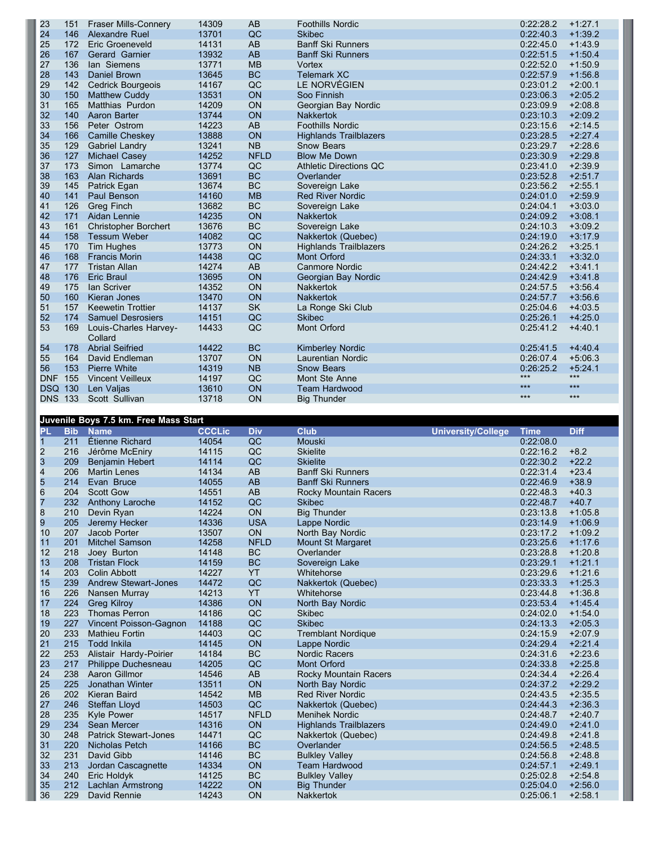| 23         | 151 | Fraser Mills-Connery             | 14309 | AB          | <b>Foothills Nordic</b>       | 0:22:28.2 | $+1:27.1$ |
|------------|-----|----------------------------------|-------|-------------|-------------------------------|-----------|-----------|
| 24         | 146 | Alexandre Ruel                   | 13701 | QC          | <b>Skibec</b>                 | 0:22:40.3 | $+1:39.2$ |
| 25         | 172 | Eric Groeneveld                  | 14131 | AB          | <b>Banff Ski Runners</b>      | 0:22:45.0 | $+1:43.9$ |
| 26         | 167 | Gerard Garnier                   | 13932 | AB          | <b>Banff Ski Runners</b>      | 0:22:51.5 | $+1:50.4$ |
| 27         | 136 | lan Siemens                      | 13771 | <b>MB</b>   | Vortex                        | 0:22:52.0 | $+1:50.9$ |
| 28         | 143 | Daniel Brown                     | 13645 | <b>BC</b>   | <b>Telemark XC</b>            | 0:22:57.9 | $+1:56.8$ |
| 29         | 142 | <b>Cedrick Bourgeois</b>         | 14167 | QC          | LE NORVÉGIEN                  | 0:23:01.2 | $+2:00.1$ |
| 30         | 150 | <b>Matthew Cuddy</b>             | 13531 | ON          | Soo Finnish                   | 0:23:06.3 | $+2:05.2$ |
| 31         | 165 | <b>Matthias Purdon</b>           | 14209 | ON          | Georgian Bay Nordic           | 0:23:09.9 | $+2:08.8$ |
| 32         | 140 | Aaron Barter                     | 13744 | <b>ON</b>   | <b>Nakkertok</b>              | 0:23:10.3 | $+2:09.2$ |
| 33         | 156 | Peter Ostrom                     | 14223 | AB          | <b>Foothills Nordic</b>       | 0:23:15.6 | $+2:14.5$ |
| 34         | 166 | Camille Cheskey                  | 13888 | ON          | <b>Highlands Trailblazers</b> | 0:23:28.5 | $+2:27.4$ |
| 35         | 129 | Gabriel Landry                   | 13241 | <b>NB</b>   | <b>Snow Bears</b>             | 0:23:29.7 | $+2:28.6$ |
| 36         | 127 | <b>Michael Casev</b>             | 14252 | <b>NFLD</b> | <b>Blow Me Down</b>           | 0:23:30.9 | $+2:29.8$ |
| 37         | 173 | Simon Lamarche                   | 13774 | QC          | <b>Athletic Directions QC</b> | 0:23:41.0 | $+2:39.9$ |
| 38         | 163 | <b>Alan Richards</b>             | 13691 | <b>BC</b>   | Overlander                    | 0:23:52.8 | $+2:51.7$ |
| 39         | 145 | Patrick Egan                     | 13674 | BC          | Sovereign Lake                | 0:23:56.2 | $+2:55.1$ |
| 40         | 141 | Paul Benson                      | 14160 | <b>MB</b>   | <b>Red River Nordic</b>       | 0:24:01.0 | $+2:59.9$ |
| 41         | 126 | Greg Finch                       | 13682 | <b>BC</b>   | Sovereign Lake                | 0:24:04.1 | $+3:03.0$ |
| 42         | 171 | Aidan Lennie                     | 14235 | ON          | <b>Nakkertok</b>              | 0:24:09.2 | $+3:08.1$ |
| 43         | 161 | <b>Christopher Borchert</b>      | 13676 | <b>BC</b>   | Sovereign Lake                | 0:24:10.3 | $+3:09.2$ |
| 44         | 158 | <b>Tessum Weber</b>              | 14082 | QC          | Nakkertok (Quebec)            | 0:24:19.0 | $+3:17.9$ |
| 45         | 170 | <b>Tim Hughes</b>                | 13773 | ON          | <b>Highlands Trailblazers</b> | 0:24:26.2 | $+3:25.1$ |
| 46         | 168 | <b>Francis Morin</b>             | 14438 | QC          | <b>Mont Orford</b>            | 0:24:33.1 | $+3:32.0$ |
| 47         | 177 | <b>Tristan Allan</b>             | 14274 | AB          | <b>Canmore Nordic</b>         | 0:24:42.2 | $+3:41.1$ |
| 48         | 176 | <b>Eric Braul</b>                | 13695 | ON          | Georgian Bay Nordic           | 0:24:42.9 | $+3:41.8$ |
| 49         | 175 | <b>lan Scriver</b>               | 14352 | ON          | <b>Nakkertok</b>              | 0:24:57.5 | $+3:56.4$ |
| 50         | 160 | Kieran Jones                     | 13470 | ON          | <b>Nakkertok</b>              | 0:24:57.7 | $+3:56.6$ |
| 51         | 157 | <b>Keewetin Trottier</b>         | 14137 | <b>SK</b>   | La Ronge Ski Club             | 0:25:04.6 | $+4:03.5$ |
| 52         | 174 | <b>Samuel Desrosiers</b>         | 14151 | QC          | <b>Skibec</b>                 | 0:25:26.1 | $+4:25.0$ |
| 53         | 169 | Louis-Charles Harvey-<br>Collard | 14433 | QC          | Mont Orford                   | 0:25:41.2 | $+4:40.1$ |
| 54         | 178 | <b>Abrial Seifried</b>           | 14422 | <b>BC</b>   | <b>Kimberley Nordic</b>       | 0:25:41.5 | $+4:40.4$ |
| 55         | 164 | David Endleman                   | 13707 | ON          | <b>Laurentian Nordic</b>      | 0:26:07.4 | $+5:06.3$ |
| 56         | 153 | <b>Pierre White</b>              | 14319 | <b>NB</b>   | <b>Snow Bears</b>             | 0:26:25.2 | $+5:24.1$ |
| <b>DNF</b> | 155 | <b>Vincent Veilleux</b>          | 14197 | QC          | Mont Ste Anne                 | $***$     | $***$     |
| <b>DSQ</b> | 130 | Len Valjas                       | 13610 | ON          | <b>Team Hardwood</b>          | ***       | $***$     |
| <b>DNS</b> | 133 | Scott Sullivan                   | 13718 | ON          | <b>Big Thunder</b>            | $***$     | $***$     |
|            |     |                                  |       |             |                               |           |           |

|                         |     | Juvenile Boys 7.5 km. Free Mass Start |               |             |                               |                           |             |             |
|-------------------------|-----|---------------------------------------|---------------|-------------|-------------------------------|---------------------------|-------------|-------------|
| <b>PL</b>               |     | <b>Bib</b> Name                       | <b>CCCLic</b> | <b>Div</b>  | <b>Club</b>                   | <b>University/College</b> | <b>Time</b> | <b>Diff</b> |
| $\overline{1}$          | 211 | Étienne Richard                       | 14054         | QC          | Mouski                        |                           | 0:22:08.0   |             |
| $\overline{\mathbf{c}}$ | 216 | Jérôme McEniry                        | 14115         | QC          | <b>Skielite</b>               |                           | 0:22:16.2   | $+8.2$      |
| 3                       | 209 | <b>Benjamin Hebert</b>                | 14114         | QC          | <b>Skielite</b>               |                           | 0:22:30.2   | $+22.2$     |
| $\overline{\mathbf{4}}$ | 206 | <b>Martin Lenes</b>                   | 14134         | AB          | <b>Banff Ski Runners</b>      |                           | 0:22:31.4   | $+23.4$     |
| 5                       | 214 | Evan Bruce                            | 14055         | AB          | <b>Banff Ski Runners</b>      |                           | 0:22:46.9   | $+38.9$     |
| $\,$ 6                  | 204 | <b>Scott Gow</b>                      | 14551         | <b>AB</b>   | Rocky Mountain Racers         |                           | 0:22:48.3   | $+40.3$     |
| 7                       | 232 | Anthony Laroche                       | 14152         | QC          | <b>Skibec</b>                 |                           | 0:22:48.7   | $+40.7$     |
| $\overline{8}$          | 210 | Devin Ryan                            | 14224         | ON          | <b>Big Thunder</b>            |                           | 0:23:13.8   | $+1:05.8$   |
| 9                       | 205 | Jeremy Hecker                         | 14336         | <b>USA</b>  | Lappe Nordic                  |                           | 0:23:14.9   | $+1:06.9$   |
| 10                      | 207 | Jacob Porter                          | 13507         | ON          | North Bay Nordic              |                           | 0:23:17.2   | $+1:09.2$   |
| 11                      | 201 | <b>Mitchel Samson</b>                 | 14258         | <b>NFLD</b> | Mount St Margaret             |                           | 0:23:25.6   | $+1:17.6$   |
| 12                      | 218 | Joey Burton                           | 14148         | <b>BC</b>   | Overlander                    |                           | 0:23:28.8   | $+1:20.8$   |
| 13                      | 208 | <b>Tristan Flock</b>                  | 14159         | <b>BC</b>   | Sovereign Lake                |                           | 0:23:29.1   | $+1:21.1$   |
| 14                      | 203 | Colin Abbott                          | 14227         | <b>YT</b>   | Whitehorse                    |                           | 0:23:29.6   | $+1:21.6$   |
| 15                      | 239 | <b>Andrew Stewart-Jones</b>           | 14472         | QC          | Nakkertok (Quebec)            |                           | 0:23:33.3   | $+1:25.3$   |
| 16                      | 226 | Nansen Murray                         | 14213         | <b>YT</b>   | Whitehorse                    |                           | 0:23:44.8   | $+1:36.8$   |
| 17                      | 224 | <b>Greg Kilroy</b>                    | 14386         | ON          | North Bay Nordic              |                           | 0:23:53.4   | $+1:45.4$   |
| 18                      | 223 | <b>Thomas Perron</b>                  | 14186         | QC          | <b>Skibec</b>                 |                           | 0:24:02.0   | $+1:54.0$   |
| 19                      | 227 | Vincent Poisson-Gagnon                | 14188         | QC          | <b>Skibec</b>                 |                           | 0:24:13.3   | $+2:05.3$   |
| 20                      | 233 | <b>Mathieu Fortin</b>                 | 14403         | QC          | <b>Tremblant Nordique</b>     |                           | 0:24:15.9   | $+2:07.9$   |
| 21                      | 215 | <b>Todd Inkila</b>                    | 14145         | ON          | Lappe Nordic                  |                           | 0:24:29.4   | $+2:21.4$   |
| 22                      | 253 | Alistair Hardy-Poirier                | 14184         | <b>BC</b>   | <b>Nordic Racers</b>          |                           | 0:24:31.6   | $+2:23.6$   |
| 23                      | 217 | Philippe Duchesneau                   | 14205         | QC          | <b>Mont Orford</b>            |                           | 0:24:33.8   | $+2:25.8$   |
| 24                      | 238 | Aaron Gillmor                         | 14546         | AB          | Rocky Mountain Racers         |                           | 0:24:34.4   | $+2:26.4$   |
| 25                      | 225 | Jonathan Winter                       | 13511         | ON          | North Bay Nordic              |                           | 0:24:37.2   | $+2:29.2$   |
| 26                      | 202 | Kieran Baird                          | 14542         | <b>MB</b>   | <b>Red River Nordic</b>       |                           | 0:24:43.5   | $+2:35.5$   |
| 27                      | 246 | Steffan Lloyd                         | 14503         | QC          | Nakkertok (Quebec)            |                           | 0:24:44.3   | $+2:36.3$   |
| 28                      | 235 | Kyle Power                            | 14517         | <b>NFLD</b> | <b>Menihek Nordic</b>         |                           | 0:24:48.7   | $+2:40.7$   |
| 29                      | 234 | Sean Mercer                           | 14316         | ON          | <b>Highlands Trailblazers</b> |                           | 0:24:49.0   | $+2:41.0$   |
| 30                      | 248 | <b>Patrick Stewart-Jones</b>          | 14471         | QC          | Nakkertok (Quebec)            |                           | 0:24:49.8   | $+2:41.8$   |
| 31                      | 220 | <b>Nicholas Petch</b>                 | 14166         | BC          | Overlander                    |                           | 0:24:56.5   | $+2:48.5$   |
| 32                      | 231 | David Gibb                            | 14146         | BC          | <b>Bulkley Valley</b>         |                           | 0:24:56.8   | $+2:48.8$   |
| 33                      | 213 | Jordan Cascagnette                    | 14334         | ON          | <b>Team Hardwood</b>          |                           | 0:24:57.1   | $+2:49.1$   |
| 34                      | 240 | Eric Holdyk                           | 14125         | BC          | <b>Bulkley Valley</b>         |                           | 0:25:02.8   | $+2:54.8$   |
| 35                      | 212 | <b>Lachlan Armstrong</b>              | 14222         | ON          | <b>Big Thunder</b>            |                           | 0:25:04.0   | $+2:56.0$   |
| 36                      | 229 | David Rennie                          | 14243         | ON          | <b>Nakkertok</b>              |                           | 0:25:06.1   | $+2:58.1$   |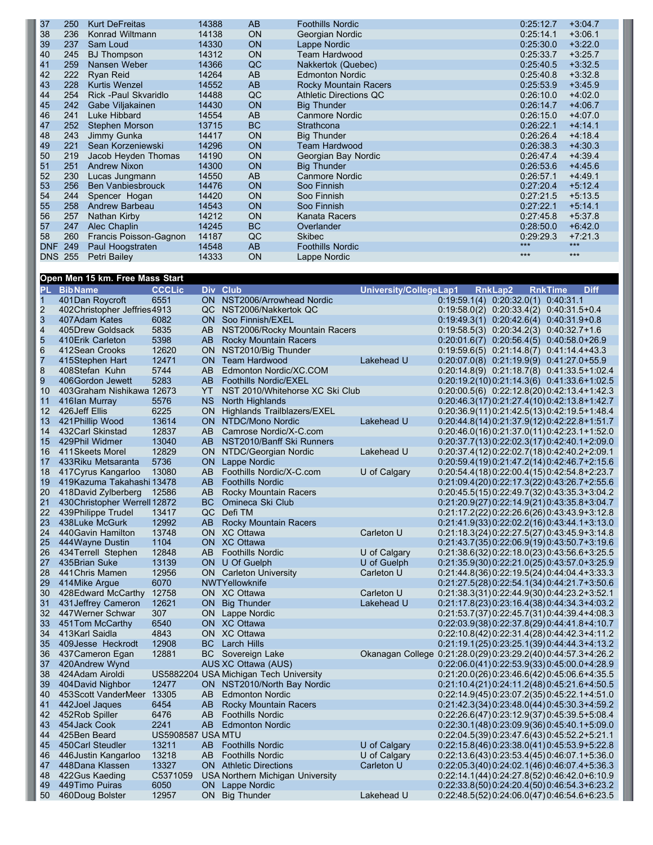| 37             | 250 | <b>Kurt DeFreitas</b>    | 14388 | AB        | <b>Foothills Nordic</b>       | 0:25:12.7 | $+3:04.7$ |
|----------------|-----|--------------------------|-------|-----------|-------------------------------|-----------|-----------|
| 38             | 236 | Konrad Wiltmann          | 14138 | <b>ON</b> | Georgian Nordic               | 0:25:14.1 | $+3:06.1$ |
| 39             | 237 | Sam Loud                 | 14330 | <b>ON</b> | Lappe Nordic                  | 0:25:30.0 | $+3:22.0$ |
| 40             | 245 | <b>BJ</b> Thompson       | 14312 | <b>ON</b> | <b>Team Hardwood</b>          | 0:25:33.7 | $+3:25.7$ |
| 41             | 259 | Nansen Weber             | 14366 | QC        | Nakkertok (Quebec)            | 0:25:40.5 | $+3:32.5$ |
| 42             | 222 | Ryan Reid                | 14264 | AB        | <b>Edmonton Nordic</b>        | 0:25:40.8 | $+3:32.8$ |
| 43             | 228 | <b>Kurtis Wenzel</b>     | 14552 | AB        | Rocky Mountain Racers         | 0:25:53.9 | $+3:45.9$ |
| 44             | 254 | Rick - Paul Skvaridlo    | 14488 | QC        | <b>Athletic Directions QC</b> | 0:26:10.0 | $+4:02.0$ |
| 45             | 242 | Gabe Viljakainen         | 14430 | <b>ON</b> | <b>Big Thunder</b>            | 0:26:14.7 | $+4:06.7$ |
| 46             | 241 | Luke Hibbard             | 14554 | AB        | Canmore Nordic                | 0:26:15.0 | $+4:07.0$ |
| 47             | 252 | Stephen Morson           | 13715 | <b>BC</b> | Strathcona                    | 0:26:22.1 | $+4:14.1$ |
| 48             | 243 | Jimmy Gunka              | 14417 | <b>ON</b> | <b>Big Thunder</b>            | 0:26:26.4 | $+4:18.4$ |
| 49             | 221 | Sean Korzeniewski        | 14296 | <b>ON</b> | <b>Team Hardwood</b>          | 0:26:38.3 | $+4:30.3$ |
| 50             | 219 | Jacob Heyden Thomas      | 14190 | <b>ON</b> | Georgian Bay Nordic           | 0:26:47.4 | $+4:39.4$ |
| 51             | 251 | <b>Andrew Nixon</b>      | 14300 | <b>ON</b> | <b>Big Thunder</b>            | 0:26:53.6 | $+4:45.6$ |
| 52             | 230 | Lucas Jungmann           | 14550 | AB        | Canmore Nordic                | 0:26:57.1 | $+4:49.1$ |
| 53             | 256 | <b>Ben Vanbiesbrouck</b> | 14476 | <b>ON</b> | Soo Finnish                   | 0:27:20.4 | $+5:12.4$ |
| 54             | 244 | Spencer Hogan            | 14420 | <b>ON</b> | Soo Finnish                   | 0:27:21.5 | $+5:13.5$ |
| 55             | 258 | Andrew Barbeau           | 14543 | <b>ON</b> | Soo Finnish                   | 0:27:22.1 | $+5:14.1$ |
| 56             | 257 | Nathan Kirby             | 14212 | <b>ON</b> | Kanata Racers                 | 0:27:45.8 | $+5:37.8$ |
| 57             | 247 | Alec Chaplin             | 14245 | <b>BC</b> | Overlander                    | 0:28:50.0 | $+6:42.0$ |
| 58             | 260 | Francis Poisson-Gagnon   | 14187 | QC        | <b>Skibec</b>                 | 0:29:29.3 | $+7:21.3$ |
| <b>DNF</b>     | 249 | Paul Hoogstraten         | 14548 | AB        | <b>Foothills Nordic</b>       | $***$     | $***$     |
| <b>DNS 255</b> |     | Petri Bailey             | 14333 | <b>ON</b> | Lappe Nordic                  | $***$     | $***$     |

## **Open Men 15 km. Free Mass Start**

| <b>PL</b>     | <b>BibName</b>                            | <b>CCCLic</b>            |           | Div Club                                              | University/CollegeLap1                                        | <b>RnkLap2</b>                                                                               | <b>RnkTime</b> | <b>Diff</b> |
|---------------|-------------------------------------------|--------------------------|-----------|-------------------------------------------------------|---------------------------------------------------------------|----------------------------------------------------------------------------------------------|----------------|-------------|
| 1             | 401 Dan Roycroft                          | 6551                     | <b>ON</b> | NST2006/Arrowhead Nordic                              |                                                               | 0:19:59.1(4)  0:20:32.0(1)  0:40:31.1                                                        |                |             |
|               | 402Christopher Jeffries4913               |                          | QC        | NST2006/Nakkertok QC                                  |                                                               | $0:19:58.0(2)$ $0:20:33.4(2)$ $0:40:31.5+0.4$                                                |                |             |
| $\frac{2}{3}$ | 407 Adam Kates                            | 6082                     | <b>ON</b> | Soo Finnish/EXEL                                      |                                                               | $0:19:49.3(1)$ $0:20:42.6(4)$ $0:40:31.9+0.8$                                                |                |             |
| 4             | 405Drew Goldsack                          | 5835                     | AB        | NST2006/Rocky Mountain Racers                         |                                                               | $0:19:58.5(3)$ $0:20:34.2(3)$ $0:40:32.7+1.6$                                                |                |             |
| 5             | 410 Erik Carleton                         | 5398                     | AB        | <b>Rocky Mountain Racers</b>                          |                                                               | $0:20:01.6(7)$ $0:20:56.4(5)$ $0:40:58.0+26.9$                                               |                |             |
| 6             | 412Sean Crooks                            | 12620                    | <b>ON</b> | NST2010/Big Thunder                                   |                                                               | $0:19:59.6(5)$ $0:21:14.8(7)$ $0:41:14.4+43.3$                                               |                |             |
| 7             | 415Stephen Hart                           | 12471                    | <b>ON</b> | <b>Team Hardwood</b>                                  | Lakehead U                                                    | 0:20:07.0(8) 0:21:19.9(9) 0:41:27.0+55.9                                                     |                |             |
| 8             | 408Stefan Kuhn                            | 5744                     | AB        | Edmonton Nordic/XC.COM                                |                                                               | $0:20:14.8(9)$ $0:21:18.7(8)$ $0:41:33.5+1:02.4$                                             |                |             |
| 9             | 406Gordon Jewett                          | 5283                     | AB        | <b>Foothills Nordic/EXEL</b>                          |                                                               | $0:20:19.2(10)0:21:14.3(6)$ $0:41:33.6+1:02.5$                                               |                |             |
| 10            | 403 Graham Nishikawa 12673                |                          | YT        | NST 2010/Whitehorse XC Ski Club                       |                                                               | $0:20:00.5(6)$ $0:22:12.8(20)$ $0:42:13.4+1:42.3$                                            |                |             |
| 11            | 416Ian Murray                             | 5576                     | <b>NS</b> | North Highlands                                       |                                                               | 0:20:46.3(17) 0:21:27.4(10) 0:42:13.8+1:42.7                                                 |                |             |
| 12            | 426 Jeff Ellis                            | 6225                     | <b>ON</b> | Highlands Trailblazers/EXEL                           |                                                               | 0:20:36.9(11) 0:21:42.5(13) 0:42:19.5+1:48.4                                                 |                |             |
| 13            | 421 Phillip Wood                          | 13614                    | ON        | NTDC/Mono Nordic                                      | Lakehead U                                                    | $0:20:44.8(14)0:21:37.9(12)0.42:22.8+1.51.7$                                                 |                |             |
| 14            | 432 Carl Skinstad                         | 12837                    | AB        | Camrose Nordic/X-C.com                                |                                                               | $0:20:46.0(16)0:21:37.0(11)0.42:23.1+1.52.0$                                                 |                |             |
| 15            | 429Phil Widmer                            | 13040                    | AB        | NST2010/Banff Ski Runners                             |                                                               | $0:20:37.7(13)0:22:02.3(17)0.42:40.1+2:09.0$                                                 |                |             |
| 16            | 411 Skeets Morel                          | 12829                    | <b>ON</b> | NTDC/Georgian Nordic                                  | Lakehead U                                                    | 0:20:37.4(12) 0:22:02.7(18) 0:42:40.2+2:09.1                                                 |                |             |
| 17            | 433 Riku Metsaranta                       | 5736                     | ON        | Lappe Nordic                                          |                                                               | $0:20:59.4(19)0:21:47.2(14)0:42:46.7+2:15.6$                                                 |                |             |
| 18            | 417 Cyrus Kangarloo                       | 13080                    | AB        | Foothills Nordic/X-C.com                              | U of Calgary                                                  | 0:20:54.4(18) 0:22:00.4(15) 0:42:54.8+2:23.7                                                 |                |             |
| 19            | 419Kazuma Takahashi 13478                 |                          | AB        | <b>Foothills Nordic</b>                               |                                                               | 0:21:09.4(20) 0:22:17.3(22) 0:43:26.7+2:55.6                                                 |                |             |
| 20            | 418David Zylberberg                       | 12586                    | AB        | Rocky Mountain Racers                                 |                                                               | 0:20:45.5(15) 0:22:49.7(32) 0:43:35.3+3:04.2                                                 |                |             |
| 21            | 430Christopher Werrell 12872              |                          | <b>BC</b> | Omineca Ski Club                                      |                                                               | 0:21:20.9(27) 0:22:14.9(21) 0:43:35.8+3:04.7                                                 |                |             |
| 22            | 439Philippe Trudel                        | 13417                    | QC        | Defi TM                                               |                                                               | 0:21:17.2(22) 0:22:26.6(26) 0:43:43.9+3:12.8                                                 |                |             |
| 23            | 438Luke McGurk                            | 12992                    | AB        | <b>Rocky Mountain Racers</b>                          |                                                               | 0:21:41.9(33) 0:22:02.2(16) 0:43:44.1+3:13.0                                                 |                |             |
| 24            | 440 Gavin Hamilton                        | 13748                    |           | ON XC Ottawa                                          | Carleton U                                                    | 0:21:18.3(24) 0:22:27.5(27) 0:43:45.9+3:14.8                                                 |                |             |
| 25            | 444 Wayne Dustin                          | 1104                     |           | ON XC Ottawa                                          |                                                               | $0:21:43.7(35)0:22:06.9(19)0.43:50.7+3.19.6$                                                 |                |             |
| 26            | 434 Terrell Stephen                       | 12848                    | AB        | <b>Foothills Nordic</b>                               | U of Calgary                                                  | $0:21:38.6(32)0:22:18.0(23)0:43.56.6+3.25.5$                                                 |                |             |
| 27            | 435 Brian Suke                            | 13139                    | <b>ON</b> | U Of Guelph                                           | U of Guelph                                                   | 0:21:35.9(30) 0:22:21.0(25) 0:43:57.0+3:25.9                                                 |                |             |
| 28            | 441 Chris Mamen                           | 12956                    | <b>ON</b> | <b>Carleton University</b>                            | Carleton U                                                    | 0:21:44.8(36) 0:22:19.5(24) 0:44:04.4+3:33.3                                                 |                |             |
| 29            | 414Mike Argue                             | 6070                     |           | NWTYellowknife                                        |                                                               | 0:21:27.5(28) 0:22:54.1(34) 0:44:21.7+3:50.6                                                 |                |             |
| 30            | 428 Edward McCarthy                       | 12758                    |           | ON XC Ottawa                                          | Carleton U                                                    | 0:21:38.3(31) 0:22:44.9(30) 0:44:23.2+3:52.1                                                 |                |             |
| 31            | 431 Jeffrey Cameron                       | 12621                    | <b>ON</b> | <b>Big Thunder</b>                                    | Lakehead U                                                    | 0:21:17.8(23) 0:23:16.4(38) 0:44:34.3+4:03.2                                                 |                |             |
| 32            | 447 Werner Schwar                         | 307                      |           | ON Lappe Nordic                                       |                                                               | 0:21:53.7(37) 0:22:45.7(31) 0:44:39.4+4:08.3                                                 |                |             |
| 33            | 451 Tom McCarthy                          | 6540                     |           | ON XC Ottawa                                          |                                                               | $0:22:03.9(38)0:22:37.8(29)0:44:41.8+4:10.7$                                                 |                |             |
| 34            | 413Karl Saidla                            | 4843                     |           | ON XC Ottawa                                          |                                                               | 0:22:10.8(42) 0:22:31.4(28) 0:44:42.3+4:11.2                                                 |                |             |
| 35<br>36      | 409 Jesse Heckrodt                        | 12908                    | <b>BC</b> | <b>Larch Hills</b>                                    | Okanagan College 0:21:28.0(29) 0:23:29.2(40) 0:44:57.3+4:26.2 | $0:21:19.1(25)0:23:25.1(39)0:44:44.3+4:13.2$                                                 |                |             |
|               | 437 Cameron Egan                          | 12881                    |           | <b>BC</b> Sovereign Lake                              |                                                               |                                                                                              |                |             |
| 37<br>38      | 420 Andrew Wynd                           |                          |           | <b>AUS XC Ottawa (AUS)</b>                            |                                                               | 0:22:06.0(41) 0:22:53.9(33) 0:45:00.0+4:28.9                                                 |                |             |
| 39            | 424 Adam Airoldi                          | 12477                    |           | US5882204 USA Michigan Tech University                |                                                               | $0:21:20.0(26)0:23:46.6(42)0:45:06.6+4:35.5$                                                 |                |             |
| 40            | 404 David Nighbor<br>453 Scott VanderMeer | 13305                    | AB        | ON NST2010/North Bay Nordic<br><b>Edmonton Nordic</b> |                                                               | $0:21:10.4(21)0:24:11.2(48)0.45:21.6+4:50.5$<br>$0:22:14.9(45)0:23.07.2(35)0:45:22.1+4.51.0$ |                |             |
| 41            | 442Joel Jaques                            | 6454                     | AB        | <b>Rocky Mountain Racers</b>                          |                                                               | 0:21:42.3(34) 0:23:48.0(44) 0:45:30.3+4:59.2                                                 |                |             |
| 42            | 452Rob Spiller                            | 6476                     | AB        | <b>Foothills Nordic</b>                               |                                                               |                                                                                              |                |             |
| 43            | 454 Jack Cook                             | 2241                     | AB        | <b>Edmonton Nordic</b>                                |                                                               | $0:22:30.1(48)0:23:09.9(36)0.45:40.1+5.09.0$                                                 |                |             |
| 44            | 425Ben Beard                              | <b>US5908587 USA MTU</b> |           |                                                       |                                                               | 0:22:04.5(39) 0:23:47.6(43) 0:45:52.2+5:21.1                                                 |                |             |
| 45            | 450Carl Steudler                          | 13211                    | <b>AB</b> | <b>Foothills Nordic</b>                               | U of Calgary                                                  | $0:22:15.8(46)0:23:38.0(41)0:45.53.9+5.22.8$                                                 |                |             |
| 46            | 446 Justin Kangarloo                      | 13218                    | AB        | <b>Foothills Nordic</b>                               | U of Calgary                                                  | $0:22:13.6(43)0:23.53.4(45)0:46.07.1+5.36.0$                                                 |                |             |
| 47            | 448Dana Klassen                           | 13327                    |           | <b>ON</b> Athletic Directions                         | Carleton U                                                    | $0:22:05.3(40)0:24:02.1(46)0:46:07.4+5.36.3$                                                 |                |             |
| 48            | 422 Gus Kaeding                           | C5371059                 |           | <b>USA Northern Michigan University</b>               |                                                               | $0:22:14.1(44)0:24:27.8(52)0:46:42.0+6:10.9$                                                 |                |             |
| 49            | 449 Timo Puiras                           | 6050                     | ON .      | Lappe Nordic                                          |                                                               | $0:22:33.8(50)0:24:20.4(50)0:46.54.3+6:23.2$                                                 |                |             |
| 50            | 460Doug Bolster                           | 12957                    |           | ON Big Thunder                                        | Lakehead U                                                    | 0:22:48.5(52) 0:24:06.0(47) 0:46:54.6+6:23.5                                                 |                |             |
|               |                                           |                          |           |                                                       |                                                               |                                                                                              |                |             |